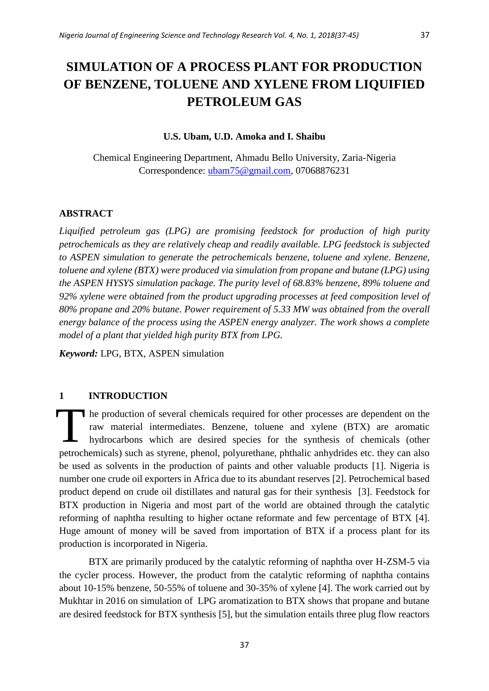# **SIMULATION OF A PROCESS PLANT FOR PRODUCTION OF BENZENE, TOLUENE AND XYLENE FROM LIQUIFIED PETROLEUM GAS**

## **U.S. Ubam, U.D. Amoka and I. Shaibu**

Chemical Engineering Department, Ahmadu Bello University, Zaria-Nigeria Correspondence: [ubam75@gmail.com,](mailto:ubam75@gmail.com) 07068876231

## **ABSTRACT**

*Liquified petroleum gas (LPG) are promising feedstock for production of high purity petrochemicals as they are relatively cheap and readily available. LPG feedstock is subjected to ASPEN simulation to generate the petrochemicals benzene, toluene and xylene. Benzene, toluene and xylene (BTX) were produced via simulation from propane and butane (LPG) using the ASPEN HYSYS simulation package. The purity level of 68.83% benzene, 89% toluene and 92% xylene were obtained from the product upgrading processes at feed composition level of 80% propane and 20% butane. Power requirement of 5.33 MW was obtained from the overall energy balance of the process using the ASPEN energy analyzer. The work shows a complete model of a plant that yielded high purity BTX from LPG.*

*Keyword:* LPG, BTX, ASPEN simulation

## **1 INTRODUCTION**

he production of several chemicals required for other processes are dependent on the raw material intermediates. Benzene, toluene and xylene (BTX) are aromatic hydrocarbons which are desired species for the synthesis of chemicals (other petrochemicals) such as styrene, phenol, polyurethane, phthalic anhydrides etc. they can also be used as solvents in the production of paints and other valuable products [1]. Nigeria is number one crude oil exporters in Africa due to its abundant reserves [2]. Petrochemical based product depend on crude oil distillates and natural gas for their synthesis [3]. Feedstock for BTX production in Nigeria and most part of the world are obtained through the catalytic reforming of naphtha resulting to higher octane reformate and few percentage of BTX [4]. Huge amount of money will be saved from importation of BTX if a process plant for its production is incorporated in Nigeria. T

BTX are primarily produced by the catalytic reforming of naphtha over H-ZSM-5 via the cycler process. However, the product from the catalytic reforming of naphtha contains about 10-15% benzene, 50-55% of toluene and 30-35% of xylene [4]. The work carried out by Mukhtar in 2016 on simulation of LPG aromatization to BTX shows that propane and butane are desired feedstock for BTX synthesis [5], but the simulation entails three plug flow reactors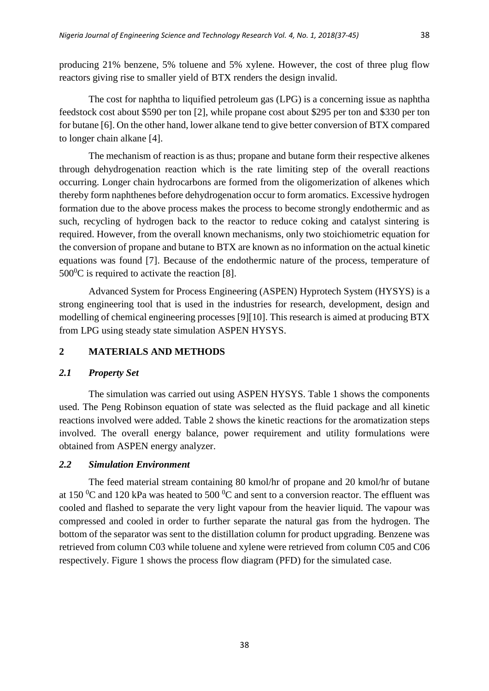producing 21% benzene, 5% toluene and 5% xylene. However, the cost of three plug flow reactors giving rise to smaller yield of BTX renders the design invalid.

The cost for naphtha to liquified petroleum gas (LPG) is a concerning issue as naphtha feedstock cost about \$590 per ton [2], while propane cost about \$295 per ton and \$330 per ton for butane [6]. On the other hand, lower alkane tend to give better conversion of BTX compared to longer chain alkane [4].

The mechanism of reaction is as thus; propane and butane form their respective alkenes through dehydrogenation reaction which is the rate limiting step of the overall reactions occurring. Longer chain hydrocarbons are formed from the oligomerization of alkenes which thereby form naphthenes before dehydrogenation occur to form aromatics. Excessive hydrogen formation due to the above process makes the process to become strongly endothermic and as such, recycling of hydrogen back to the reactor to reduce coking and catalyst sintering is required. However, from the overall known mechanisms, only two stoichiometric equation for the conversion of propane and butane to BTX are known as no information on the actual kinetic equations was found [7]. Because of the endothermic nature of the process, temperature of  $500^0$ C is required to activate the reaction [8].

Advanced System for Process Engineering (ASPEN) Hyprotech System (HYSYS) is a strong engineering tool that is used in the industries for research, development, design and modelling of chemical engineering processes [9][10]. This research is aimed at producing BTX from LPG using steady state simulation ASPEN HYSYS.

## **2 MATERIALS AND METHODS**

## *2.1 Property Set*

The simulation was carried out using ASPEN HYSYS. Table 1 shows the components used. The Peng Robinson equation of state was selected as the fluid package and all kinetic reactions involved were added. Table 2 shows the kinetic reactions for the aromatization steps involved. The overall energy balance, power requirement and utility formulations were obtained from ASPEN energy analyzer.

## *2.2 Simulation Environment*

The feed material stream containing 80 kmol/hr of propane and 20 kmol/hr of butane at 150  $\rm{^0C}$  and 120 kPa was heated to 500  $\rm{^0C}$  and sent to a conversion reactor. The effluent was cooled and flashed to separate the very light vapour from the heavier liquid. The vapour was compressed and cooled in order to further separate the natural gas from the hydrogen. The bottom of the separator was sent to the distillation column for product upgrading. Benzene was retrieved from column C03 while toluene and xylene were retrieved from column C05 and C06 respectively. Figure 1 shows the process flow diagram (PFD) for the simulated case.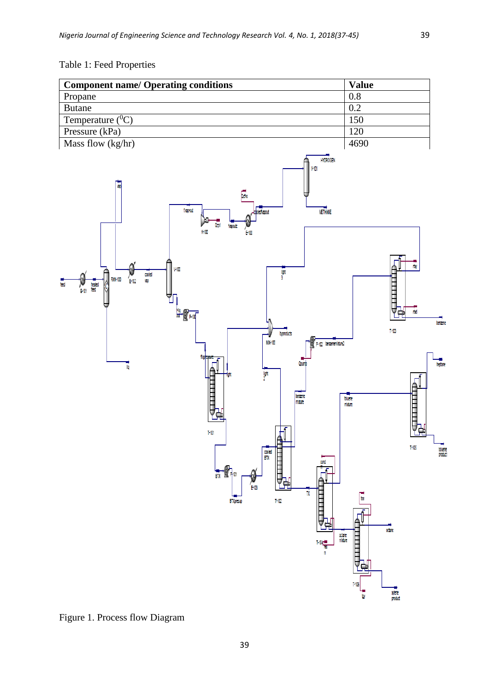## Table 1: Feed Properties



Figure 1. Process flow Diagram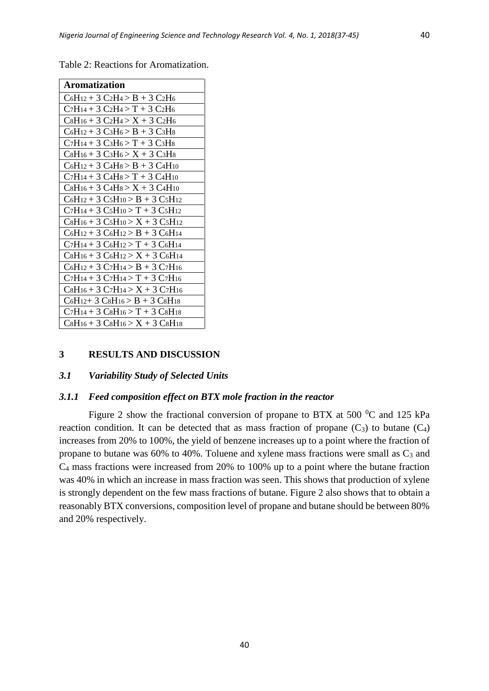| <b>Aromatization</b>                        |
|---------------------------------------------|
| $C_6H_{12} + 3 C_2H_4 > B + 3 C_2H_6$       |
| $C_7H_{14} + 3 C_2H_4 > T + 3 C_2H_6$       |
| $C_8H_{16} + 3 C_2H_4 > X + 3 C_2H_6$       |
| $C_6H_{12} + 3 C_3H_6 > B + 3 C_3H_8$       |
| $C_7H_{14} + 3 C_3H_6 > T + 3 C_3H_8$       |
| $C_8H_{16} + 3 C_3H_6 > X + 3 C_3H_8$       |
| $C_6H_{12} + 3 C_4H_8 > B + 3 C_4H_{10}$    |
| $C_7H_{14} + 3 C_4H_8 > T + 3 C_4H_{10}$    |
| $C_8H_{16} + 3 C_4H_8 > X + 3 C_4H_{10}$    |
| $C_6H_{12} + 3 C_5H_{10} > B + 3 C_5H_{12}$ |
| $C_7H_{14} + 3C_5H_{10} > T + 3C_5H_{12}$   |
| $C_8H_{16} + 3C_5H_{10} > X + 3C_5H_{12}$   |
| $C_6H_{12} + 3 C_6H_{12} > B + 3 C_6H_{14}$ |
| $C_7H_{14} + 3C_6H_{12} > T + 3C_6H_{14}$   |
| $C_8H_{16} + 3 C_6H_{12} > X + 3 C_6H_{14}$ |
| $C_6H_{12} + 3 C_7H_{14} > B + 3 C_7H_{16}$ |
| $C_7H_{14} + 3 C_7H_{14} > T + 3 C_7H_{16}$ |
| $C_8H_{16} + 3 C_7H_{14} > X + 3 C_7H_{16}$ |
| $C_6H_{12}+3C_8H_{16} > B + 3C_8H_{18}$     |
| $C_7H_{14} + 3C_8H_{16} > T + 3C_8H_{18}$   |
| $C_8H_{16} + 3C_8H_{16} > X + 3C_8H_{18}$   |

Table 2: Reactions for Aromatization.

#### **3 RESULTS AND DISCUSSION**

#### *3.1 Variability Study of Selected Units*

#### *3.1.1 Feed composition effect on BTX mole fraction in the reactor*

Figure 2 show the fractional conversion of propane to BTX at 500  $^0C$  and 125 kPa reaction condition. It can be detected that as mass fraction of propane  $(C_3)$  to butane  $(C_4)$ increases from 20% to 100%, the yield of benzene increases up to a point where the fraction of propane to butane was 60% to 40%. Toluene and xylene mass fractions were small as  $C_3$  and C<sup>4</sup> mass fractions were increased from 20% to 100% up to a point where the butane fraction was 40% in which an increase in mass fraction was seen. This shows that production of xylene is strongly dependent on the few mass fractions of butane. Figure 2 also shows that to obtain a reasonably BTX conversions, composition level of propane and butane should be between 80% and 20% respectively.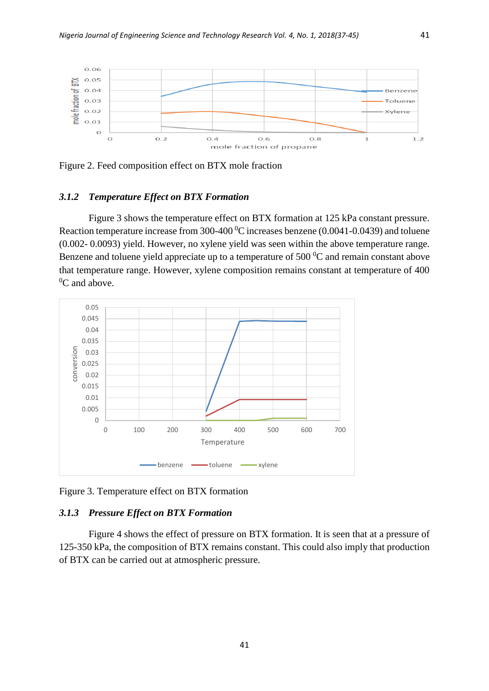

Figure 2. Feed composition effect on BTX mole fraction

## *3.1.2 Temperature Effect on BTX Formation*

Figure 3 shows the temperature effect on BTX formation at 125 kPa constant pressure. Reaction temperature increase from 300-400 $^0$ C increases benzene (0.0041-0.0439) and toluene (0.002- 0.0093) yield. However, no xylene yield was seen within the above temperature range. Benzene and toluene yield appreciate up to a temperature of  $500<sup>0</sup>C$  and remain constant above that temperature range. However, xylene composition remains constant at temperature of 400  $^{0}C$  and above.



Figure 3. Temperature effect on BTX formation

### *3.1.3 Pressure Effect on BTX Formation*

Figure 4 shows the effect of pressure on BTX formation. It is seen that at a pressure of 125-350 kPa, the composition of BTX remains constant. This could also imply that production of BTX can be carried out at atmospheric pressure.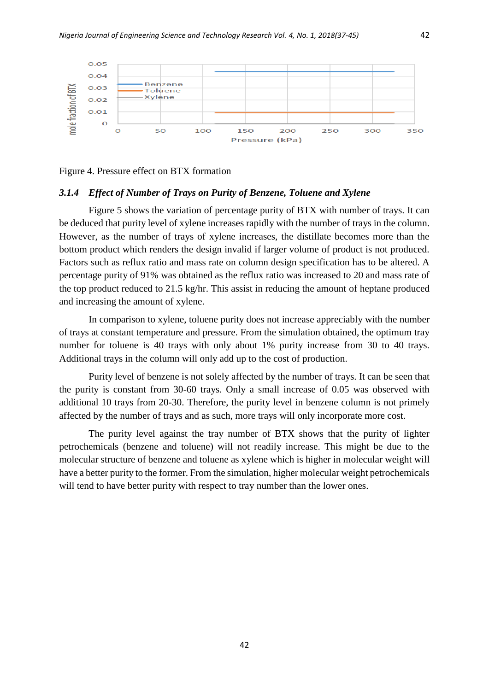

Figure 4. Pressure effect on BTX formation

#### *3.1.4 Effect of Number of Trays on Purity of Benzene, Toluene and Xylene*

Figure 5 shows the variation of percentage purity of BTX with number of trays. It can be deduced that purity level of xylene increases rapidly with the number of trays in the column. However, as the number of trays of xylene increases, the distillate becomes more than the bottom product which renders the design invalid if larger volume of product is not produced. Factors such as reflux ratio and mass rate on column design specification has to be altered. A percentage purity of 91% was obtained as the reflux ratio was increased to 20 and mass rate of the top product reduced to 21.5 kg/hr. This assist in reducing the amount of heptane produced and increasing the amount of xylene.

In comparison to xylene, toluene purity does not increase appreciably with the number of trays at constant temperature and pressure. From the simulation obtained, the optimum tray number for toluene is 40 trays with only about 1% purity increase from 30 to 40 trays. Additional trays in the column will only add up to the cost of production.

Purity level of benzene is not solely affected by the number of trays. It can be seen that the purity is constant from 30-60 trays. Only a small increase of 0.05 was observed with additional 10 trays from 20-30. Therefore, the purity level in benzene column is not primely affected by the number of trays and as such, more trays will only incorporate more cost.

The purity level against the tray number of BTX shows that the purity of lighter petrochemicals (benzene and toluene) will not readily increase. This might be due to the molecular structure of benzene and toluene as xylene which is higher in molecular weight will have a better purity to the former. From the simulation, higher molecular weight petrochemicals will tend to have better purity with respect to tray number than the lower ones.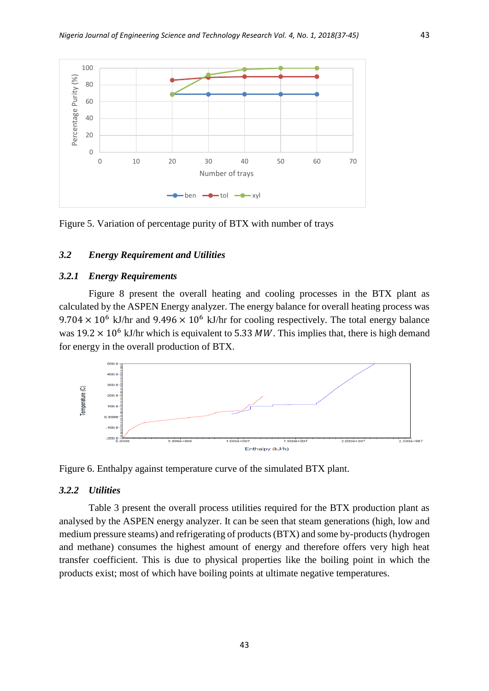

Figure 5. Variation of percentage purity of BTX with number of trays

## *3.2 Energy Requirement and Utilities*

#### *3.2.1 Energy Requirements*

Figure 8 present the overall heating and cooling processes in the BTX plant as calculated by the ASPEN Energy analyzer. The energy balance for overall heating process was  $9.704 \times 10^6$  kJ/hr and  $9.496 \times 10^6$  kJ/hr for cooling respectively. The total energy balance was  $19.2 \times 10^6$  kJ/hr which is equivalent to 5.33 MW. This implies that, there is high demand for energy in the overall production of BTX.



Figure 6. Enthalpy against temperature curve of the simulated BTX plant.

#### *3.2.2 Utilities*

Table 3 present the overall process utilities required for the BTX production plant as analysed by the ASPEN energy analyzer. It can be seen that steam generations (high, low and medium pressure steams) and refrigerating of products (BTX) and some by-products (hydrogen and methane) consumes the highest amount of energy and therefore offers very high heat transfer coefficient. This is due to physical properties like the boiling point in which the products exist; most of which have boiling points at ultimate negative temperatures.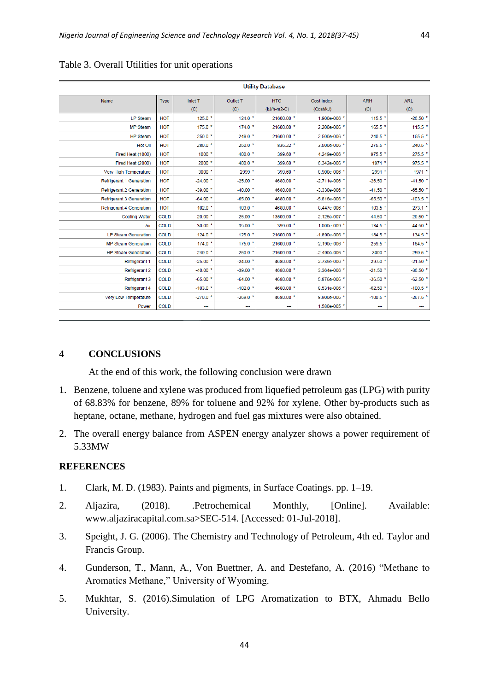| <b>Utility Database</b>         |             |              |            |               |                   |            |                       |  |
|---------------------------------|-------------|--------------|------------|---------------|-------------------|------------|-----------------------|--|
| Name                            | <b>Type</b> | Inlet T      | Outlet T   | <b>HTC</b>    | Cost Index        | <b>ARH</b> | <b>ARL</b>            |  |
|                                 |             | (C)          | (C)        | $(kJ/h-m2-C)$ | (Cost/kJ)         | (C)        | (C)                   |  |
| <b>LP Steam</b>                 | <b>HOT</b>  | $125.0$ $*$  | $124.0*$   | 21600.00 *    | 1.900e-006 *      | 115.5 *    | $-26.50$ $*$          |  |
| <b>MP Steam</b>                 | HOT         | $175.0*$     | $174.0*$   | 21600.00 *    | 2.200e-006 *      | 165.5 *    | 115.5 *               |  |
| <b>HP Steam</b>                 | <b>HOT</b>  | $250.0$ *    | 249.0 *    | 21600.00 *    | 2.500e-006 *      | 240.5 *    | $165.5*$              |  |
| Hot Oil                         | <b>HOT</b>  | 280.0        | $250.0*$   | 836.22 *      | 3.500e-006 *      | 275.5 *    | 240.5 *               |  |
| Fired Heat (1000)               | <b>HOT</b>  | $1000$ *     | 400.0 *    | 399.60 *      | 4.249e-006 *      | 975.5 *    | 275.5                 |  |
| Fired Heat (2000)               | <b>HOT</b>  | 2000         | 400.0 *    | 399.60        | 6.342e-006 *      | 1971 *     | 975.5 *               |  |
| Very High Temperature           | HOT         | 3000         | 2999       | 399.60 *      | 8.900e-006 *      | 2991 *     | 1971 *                |  |
| Refrigerant 1 Generation        | <b>HOT</b>  | $-24.00$ *   | $-25.00$ * | 4680.00       | $-2.711e-006$ *   | $-26.50$ * | $-41.50$ *            |  |
| <b>Refrigerant 2 Generation</b> | HOT         | $-39.00*$    | $-40.00$ * | 4680.00       | $-3.330e-006$ *   | $-41.50$ * | $-65.50$              |  |
| Refrigerant 3 Generation        | <b>HOT</b>  | $-64.00$ *   | $-65.00$ * | 4680.00       | $-5.816e - 006$   | $-65.50*$  | $-103.5$ *            |  |
| <b>Refrigerant 4 Generation</b> | <b>HOT</b>  | $-102.0$ $*$ | $-103.0$ * | 4680.00 *     | $-8.447e - 006$ * | $-103.5$ * | $-273.1$ *            |  |
| <b>Cooling Water</b>            | <b>COLD</b> | $20.00*$     | 25.00 *    | 13500.00 *    | 2.125e-007 *      | 44.50 *    | 29.50                 |  |
| Air                             | <b>COLD</b> | 30.00        | 35.00 *    | 399.60        | 1.000e-009        | 134.5 *    | 44.50                 |  |
| <b>LP Steam Generation</b>      | <b>COLD</b> | 124.0        | $125.0*$   | 21600.00      | $-1.890e - 006$   | 184.5 *    | 134.5                 |  |
| <b>MP Steam Generation</b>      | <b>COLD</b> | 174.0        | 175.0 *    | 21600.00      | $-2.190e - 006$ * | 259.5 *    | 184.5 *               |  |
| <b>HP Steam Generation</b>      | <b>COLD</b> | 249.0 *      | $250.0*$   | 21600.00 *    | $-2.490e-006$ *   | $3000*$    | 259.5 *               |  |
| Refrigerant 1                   | <b>COLD</b> | $-25.00$     | $-24.00$ * | 4680.00       | 2.739e-006        | 29.50 *    | $-21.50$ <sup>+</sup> |  |
| <b>Refrigerant 2</b>            | <b>COLD</b> | $-40.00$ *   | $-39.00$ * | 4680.00 *     | 3.364e-006 *      | $-21.50$ * | $-36.50$ $*$          |  |
| Refrigerant 3                   | <b>COLD</b> | $-65.00$ *   | $-64.00$ * | 4680.00       | 5.876e-006 *      | $-36.50*$  | $-62.50$ $*$          |  |
| Refrigerant 4                   | <b>COLD</b> | $-103.0$ *   | $-102.0$ * | 4680.00 *     | 8.531e-006 *      | $-62.50$ * | $-100.5$ *            |  |
| Very Low Temperature            | <b>COLD</b> | $-270.0$     | $-269.0$ * | 4680.00       | 8.900e-006        | $-100.5$ * | $-267.5$              |  |
| Power                           | <b>COLD</b> | ---          | ---        | --            | 1.580e-005 *      | ---        | ---                   |  |

Table 3. Overall Utilities for unit operations

## **4 CONCLUSIONS**

At the end of this work, the following conclusion were drawn

- 1. Benzene, toluene and xylene was produced from liquefied petroleum gas (LPG) with purity of 68.83% for benzene, 89% for toluene and 92% for xylene. Other by-products such as heptane, octane, methane, hydrogen and fuel gas mixtures were also obtained.
- 2. The overall energy balance from ASPEN energy analyzer shows a power requirement of 5.33MW

## **REFERENCES**

- 1. Clark, M. D. (1983). Paints and pigments, in Surface Coatings. pp. 1–19.
- 2. Aljazira, (2018). .Petrochemical Monthly, [Online]. Available: www.aljaziracapital.com.sa>SEC-514. [Accessed: 01-Jul-2018].
- 3. Speight, J. G. (2006). The Chemistry and Technology of Petroleum, 4th ed. Taylor and Francis Group.
- 4. Gunderson, T., Mann, A., Von Buettner, A. and Destefano, A. (2016) "Methane to Aromatics Methane," University of Wyoming.
- 5. Mukhtar, S. (2016).Simulation of LPG Aromatization to BTX, Ahmadu Bello University.